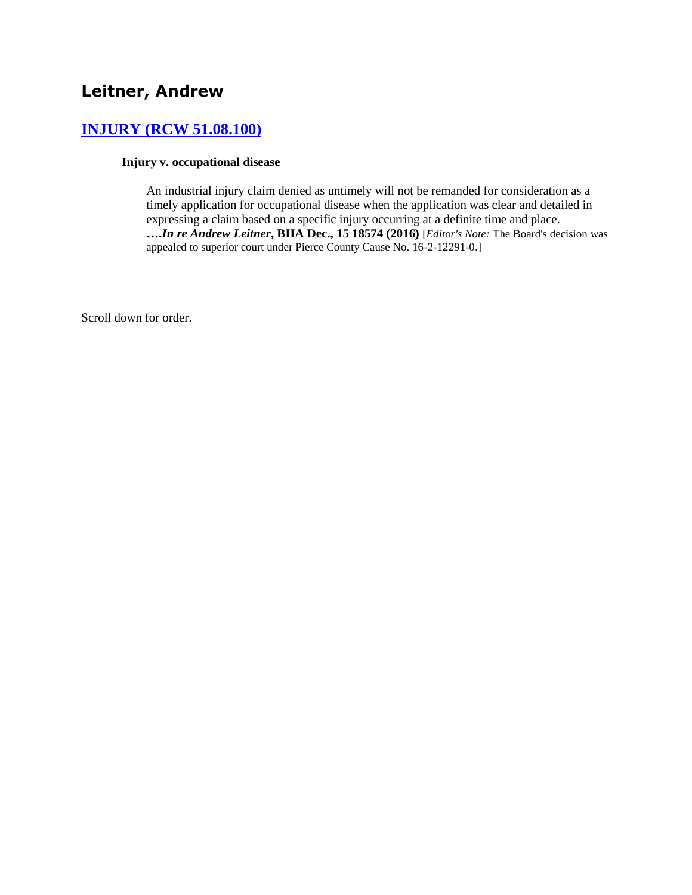# **[INJURY \(RCW 51.08.100\)](http://www.biia.wa.gov/SDSubjectIndex.html#INJURY)**

#### **Injury v. occupational disease**

An industrial injury claim denied as untimely will not be remanded for consideration as a timely application for occupational disease when the application was clear and detailed in expressing a claim based on a specific injury occurring at a definite time and place. **….***In re Andrew Leitner***, BIIA Dec., 15 18574 (2016)** [*Editor's Note:* The Board's decision was appealed to superior court under Pierce County Cause No. 16-2-12291-0.]

Scroll down for order.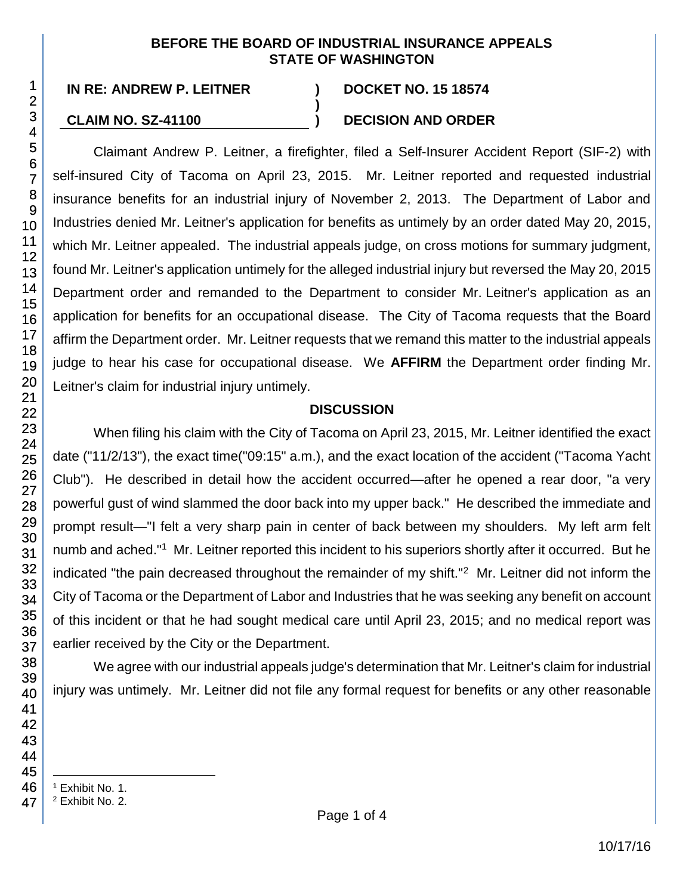### **BEFORE THE BOARD OF INDUSTRIAL INSURANCE APPEALS STATE OF WASHINGTON**

**)**

## **CLAIM NO. SZ-41100 ) DECISION AND ORDER**

Claimant Andrew P. Leitner, a firefighter, filed a Self-Insurer Accident Report (SIF-2) with self-insured City of Tacoma on April 23, 2015. Mr. Leitner reported and requested industrial insurance benefits for an industrial injury of November 2, 2013. The Department of Labor and Industries denied Mr. Leitner's application for benefits as untimely by an order dated May 20, 2015, which Mr. Leitner appealed. The industrial appeals judge, on cross motions for summary judgment, found Mr. Leitner's application untimely for the alleged industrial injury but reversed the May 20, 2015 Department order and remanded to the Department to consider Mr. Leitner's application as an application for benefits for an occupational disease. The City of Tacoma requests that the Board affirm the Department order. Mr. Leitner requests that we remand this matter to the industrial appeals judge to hear his case for occupational disease. We **AFFIRM** the Department order finding Mr. Leitner's claim for industrial injury untimely.

## **DISCUSSION**

When filing his claim with the City of Tacoma on April 23, 2015, Mr. Leitner identified the exact date ("11/2/13"), the exact time("09:15" a.m.), and the exact location of the accident ("Tacoma Yacht Club"). He described in detail how the accident occurred—after he opened a rear door, "a very powerful gust of wind slammed the door back into my upper back." He described the immediate and prompt result—"I felt a very sharp pain in center of back between my shoulders. My left arm felt numb and ached."<sup>1</sup> Mr. Leitner reported this incident to his superiors shortly after it occurred. But he indicated "the pain decreased throughout the remainder of my shift."<sup>2</sup> Mr. Leitner did not inform the City of Tacoma or the Department of Labor and Industries that he was seeking any benefit on account of this incident or that he had sought medical care until April 23, 2015; and no medical report was earlier received by the City or the Department.

We agree with our industrial appeals judge's determination that Mr. Leitner's claim for industrial injury was untimely. Mr. Leitner did not file any formal request for benefits or any other reasonable

- l <sup>1</sup> Exhibit No. 1.
- <sup>2</sup> Exhibit No. 2.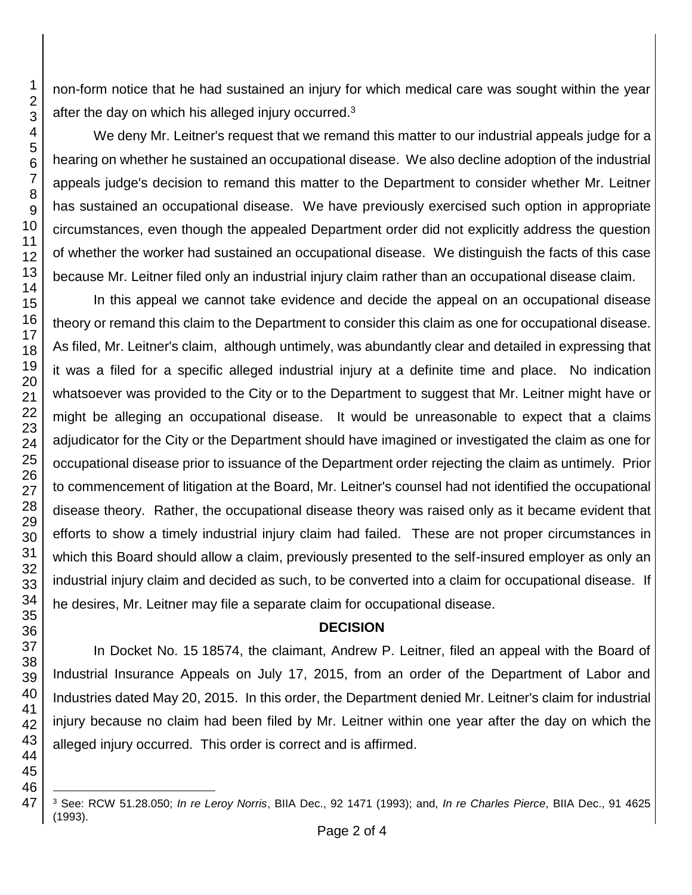non-form notice that he had sustained an injury for which medical care was sought within the year after the day on which his alleged injury occurred.

We deny Mr. Leitner's request that we remand this matter to our industrial appeals judge for a hearing on whether he sustained an occupational disease. We also decline adoption of the industrial appeals judge's decision to remand this matter to the Department to consider whether Mr. Leitner has sustained an occupational disease. We have previously exercised such option in appropriate circumstances, even though the appealed Department order did not explicitly address the question of whether the worker had sustained an occupational disease. We distinguish the facts of this case because Mr. Leitner filed only an industrial injury claim rather than an occupational disease claim.

In this appeal we cannot take evidence and decide the appeal on an occupational disease theory or remand this claim to the Department to consider this claim as one for occupational disease. As filed, Mr. Leitner's claim, although untimely, was abundantly clear and detailed in expressing that it was a filed for a specific alleged industrial injury at a definite time and place. No indication whatsoever was provided to the City or to the Department to suggest that Mr. Leitner might have or might be alleging an occupational disease. It would be unreasonable to expect that a claims adjudicator for the City or the Department should have imagined or investigated the claim as one for occupational disease prior to issuance of the Department order rejecting the claim as untimely. Prior to commencement of litigation at the Board, Mr. Leitner's counsel had not identified the occupational disease theory. Rather, the occupational disease theory was raised only as it became evident that efforts to show a timely industrial injury claim had failed. These are not proper circumstances in which this Board should allow a claim, previously presented to the self-insured employer as only an industrial injury claim and decided as such, to be converted into a claim for occupational disease. If he desires, Mr. Leitner may file a separate claim for occupational disease.

## **DECISION**

In Docket No. 15 18574, the claimant, Andrew P. Leitner, filed an appeal with the Board of Industrial Insurance Appeals on July 17, 2015, from an order of the Department of Labor and Industries dated May 20, 2015. In this order, the Department denied Mr. Leitner's claim for industrial injury because no claim had been filed by Mr. Leitner within one year after the day on which the alleged injury occurred. This order is correct and is affirmed.

l See: RCW 51.28.050; *In re Leroy Norris*, BIIA Dec., 92 1471 (1993); and, *In re Charles Pierce*, BIIA Dec., 91 4625 (1993).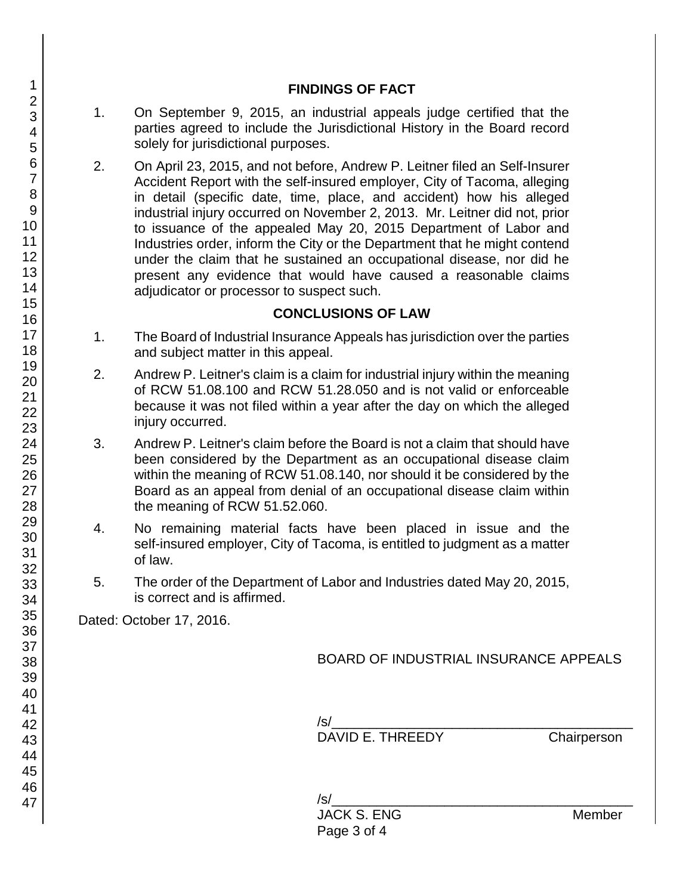### **FINDINGS OF FACT**

- 1. On September 9, 2015, an industrial appeals judge certified that the parties agreed to include the Jurisdictional History in the Board record solely for jurisdictional purposes.
- 2. On April 23, 2015, and not before, Andrew P. Leitner filed an Self-Insurer Accident Report with the self-insured employer, City of Tacoma, alleging in detail (specific date, time, place, and accident) how his alleged industrial injury occurred on November 2, 2013. Mr. Leitner did not, prior to issuance of the appealed May 20, 2015 Department of Labor and Industries order, inform the City or the Department that he might contend under the claim that he sustained an occupational disease, nor did he present any evidence that would have caused a reasonable claims adjudicator or processor to suspect such.

## **CONCLUSIONS OF LAW**

- 1. The Board of Industrial Insurance Appeals has jurisdiction over the parties and subject matter in this appeal.
- 2. Andrew P. Leitner's claim is a claim for industrial injury within the meaning of RCW 51.08.100 and RCW 51.28.050 and is not valid or enforceable because it was not filed within a year after the day on which the alleged injury occurred.
- 3. Andrew P. Leitner's claim before the Board is not a claim that should have been considered by the Department as an occupational disease claim within the meaning of RCW 51.08.140, nor should it be considered by the Board as an appeal from denial of an occupational disease claim within the meaning of RCW 51.52.060.
- 4. No remaining material facts have been placed in issue and the self-insured employer, City of Tacoma, is entitled to judgment as a matter of law.
- 5. The order of the Department of Labor and Industries dated May 20, 2015, is correct and is affirmed.

Dated: October 17, 2016.

# BOARD OF INDUSTRIAL INSURANCE APPEALS

 $/s/$ 

DAVID E. THREEDY Chairperson

/s/\_\_\_\_\_\_\_\_\_\_\_\_\_\_\_\_\_\_\_\_\_\_\_\_\_\_\_\_\_\_\_\_\_\_\_\_\_\_\_\_